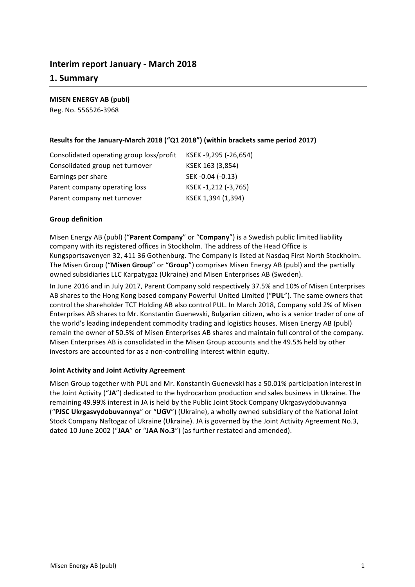# **Interim report January - March 2018**

# **1. Summary**

**MISEN ENERGY AB (publ)**

Reg. No. 556526-3968

# Results for the January-March 2018 ("Q1 2018") (within brackets same period 2017)

| Consolidated operating group loss/profit | KSEK -9,295 (-26,654) |
|------------------------------------------|-----------------------|
| Consolidated group net turnover          | KSEK 163 (3,854)      |
| Earnings per share                       | SEK-0.04 (-0.13)      |
| Parent company operating loss            | KSEK-1,212 (-3,765)   |
| Parent company net turnover              | KSEK 1,394 (1,394)    |

# **Group definition**

Misen Energy AB (publ) ("Parent Company" or "Company") is a Swedish public limited liability company with its registered offices in Stockholm. The address of the Head Office is Kungsportsavenyen 32, 411 36 Gothenburg. The Company is listed at Nasdaq First North Stockholm. The Misen Group ("Misen Group" or "Group") comprises Misen Energy AB (publ) and the partially owned subsidiaries LLC Karpatygaz (Ukraine) and Misen Enterprises AB (Sweden).

In June 2016 and in July 2017, Parent Company sold respectively 37.5% and 10% of Misen Enterprises AB shares to the Hong Kong based company Powerful United Limited ("PUL"). The same owners that control the shareholder TCT Holding AB also control PUL. In March 2018, Company sold 2% of Misen Enterprises AB shares to Mr. Konstantin Guenevski, Bulgarian citizen, who is a senior trader of one of the world's leading independent commodity trading and logistics houses. Misen Energy AB (publ) remain the owner of 50.5% of Misen Enterprises AB shares and maintain full control of the company. Misen Enterprises AB is consolidated in the Misen Group accounts and the 49.5% held by other investors are accounted for as a non-controlling interest within equity.

# **Joint Activity and Joint Activity Agreement**

Misen Group together with PUL and Mr. Konstantin Guenevski has a 50.01% participation interest in the Joint Activity ("JA") dedicated to the hydrocarbon production and sales business in Ukraine. The remaining 49.99% interest in JA is held by the Public Joint Stock Company Ukrgasvydobuvannya ("PJSC Ukrgasvydobuvannya" or "UGV") (Ukraine), a wholly owned subsidiary of the National Joint Stock Company Naftogaz of Ukraine (Ukraine). JA is governed by the Joint Activity Agreement No.3, dated 10 June 2002 ("JAA" or "JAA No.3") (as further restated and amended).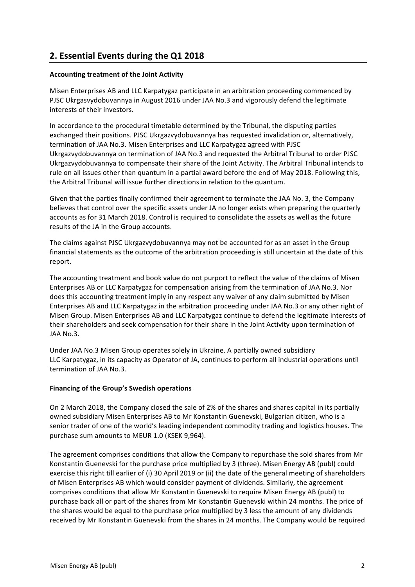# **2. Essential Events during the Q1 2018**

# **Accounting treatment of the Joint Activity**

Misen Enterprises AB and LLC Karpatygaz participate in an arbitration proceeding commenced by PJSC Ukrgasvydobuvannya in August 2016 under JAA No.3 and vigorously defend the legitimate interests of their investors.

In accordance to the procedural timetable determined by the Tribunal, the disputing parties exchanged their positions. PJSC Ukrgazvydobuvannya has requested invalidation or, alternatively, termination of JAA No.3. Misen Enterprises and LLC Karpatygaz agreed with PJSC Ukrgazvydobuvannya on termination of JAA No.3 and requested the Arbitral Tribunal to order PJSC Ukrgazvydobuvannya to compensate their share of the Joint Activity. The Arbitral Tribunal intends to rule on all issues other than quantum in a partial award before the end of May 2018. Following this, the Arbitral Tribunal will issue further directions in relation to the quantum.

Given that the parties finally confirmed their agreement to terminate the JAA No. 3, the Company believes that control over the specific assets under JA no longer exists when preparing the quarterly accounts as for 31 March 2018. Control is required to consolidate the assets as well as the future results of the JA in the Group accounts.

The claims against PJSC Ukrgazvydobuvannya may not be accounted for as an asset in the Group financial statements as the outcome of the arbitration proceeding is still uncertain at the date of this report.

The accounting treatment and book value do not purport to reflect the value of the claims of Misen Enterprises AB or LLC Karpatygaz for compensation arising from the termination of JAA No.3. Nor does this accounting treatment imply in any respect any waiver of any claim submitted by Misen Enterprises AB and LLC Karpatygaz in the arbitration proceeding under JAA No.3 or any other right of Misen Group. Misen Enterprises AB and LLC Karpatygaz continue to defend the legitimate interests of their shareholders and seek compensation for their share in the Joint Activity upon termination of JAA No.3.

Under JAA No.3 Misen Group operates solely in Ukraine. A partially owned subsidiary LLC Karpatygaz, in its capacity as Operator of JA, continues to perform all industrial operations until termination of JAA No.3.

# **Financing of the Group's Swedish operations**

On 2 March 2018, the Company closed the sale of 2% of the shares and shares capital in its partially owned subsidiary Misen Enterprises AB to Mr Konstantin Guenevski, Bulgarian citizen, who is a senior trader of one of the world's leading independent commodity trading and logistics houses. The purchase sum amounts to MEUR 1.0 (KSEK 9,964).

The agreement comprises conditions that allow the Company to repurchase the sold shares from Mr Konstantin Guenevski for the purchase price multiplied by 3 (three). Misen Energy AB (publ) could exercise this right till earlier of (i) 30 April 2019 or (ii) the date of the general meeting of shareholders of Misen Enterprises AB which would consider payment of dividends. Similarly, the agreement comprises conditions that allow Mr Konstantin Guenevski to require Misen Energy AB (publ) to purchase back all or part of the shares from Mr Konstantin Guenevski within 24 months. The price of the shares would be equal to the purchase price multiplied by 3 less the amount of any dividends received by Mr Konstantin Guenevski from the shares in 24 months. The Company would be required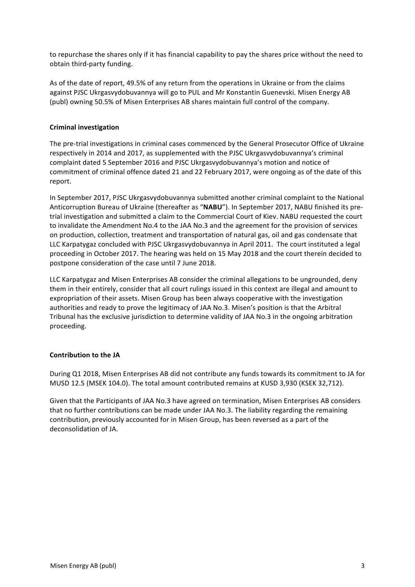to repurchase the shares only if it has financial capability to pay the shares price without the need to obtain third-party funding.

As of the date of report, 49.5% of any return from the operations in Ukraine or from the claims against PJSC Ukrgasvydobuvannya will go to PUL and Mr Konstantin Guenevski. Misen Energy AB (publ) owning 50.5% of Misen Enterprises AB shares maintain full control of the company.

# **Criminal investigation**

The pre-trial investigations in criminal cases commenced by the General Prosecutor Office of Ukraine respectively in 2014 and 2017, as supplemented with the PJSC Ukrgasvydobuvannya's criminal complaint dated 5 September 2016 and PJSC Ukrgasvydobuvannya's motion and notice of commitment of criminal offence dated 21 and 22 February 2017, were ongoing as of the date of this report.

In September 2017, PJSC Ukrgasvydobuvannya submitted another criminal complaint to the National Anticorruption Bureau of Ukraine (thereafter as "NABU"). In September 2017, NABU finished its pretrial investigation and submitted a claim to the Commercial Court of Kiev. NABU requested the court to invalidate the Amendment No.4 to the JAA No.3 and the agreement for the provision of services on production, collection, treatment and transportation of natural gas, oil and gas condensate that LLC Karpatygaz concluded with PJSC Ukrgasvydobuvannya in April 2011. The court instituted a legal proceeding in October 2017. The hearing was held on 15 May 2018 and the court therein decided to postpone consideration of the case until 7 June 2018.

LLC Karpatygaz and Misen Enterprises AB consider the criminal allegations to be ungrounded, deny them in their entirely, consider that all court rulings issued in this context are illegal and amount to expropriation of their assets. Misen Group has been always cooperative with the investigation authorities and ready to prove the legitimacy of JAA No.3. Misen's position is that the Arbitral Tribunal has the exclusive jurisdiction to determine validity of JAA No.3 in the ongoing arbitration proceeding.

# **Contribution to the JA**

During Q1 2018, Misen Enterprises AB did not contribute any funds towards its commitment to JA for MUSD 12.5 (MSEK 104.0). The total amount contributed remains at KUSD 3,930 (KSEK 32,712).

Given that the Participants of JAA No.3 have agreed on termination, Misen Enterprises AB considers that no further contributions can be made under JAA No.3. The liability regarding the remaining contribution, previously accounted for in Misen Group, has been reversed as a part of the deconsolidation of JA.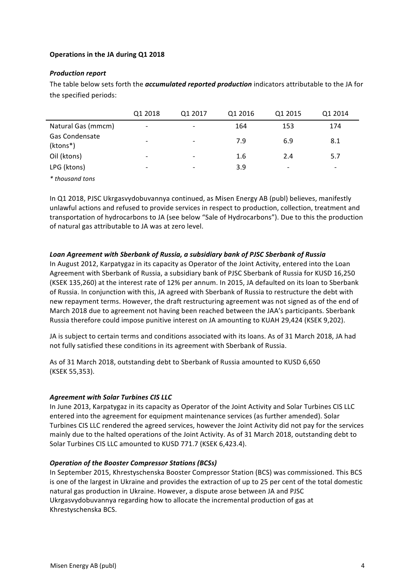# **Operations in the JA during Q1 2018**

## **Production report**

The table below sets forth the *accumulated reported production* indicators attributable to the JA for the specified periods:

|                                   | Q1 2018                  | Q1 2017                  | Q1 2016 | Q1 2015 | Q1 2014                  |
|-----------------------------------|--------------------------|--------------------------|---------|---------|--------------------------|
| Natural Gas (mmcm)                | $\overline{\phantom{0}}$ | $\overline{\phantom{a}}$ | 164     | 153     | 174                      |
| <b>Gas Condensate</b><br>(ktons*) | -                        | $\overline{\phantom{a}}$ | 7.9     | 6.9     | 8.1                      |
| Oil (ktons)                       |                          |                          | 1.6     | 2.4     | 5.7                      |
| LPG (ktons)                       | -                        | $\overline{\phantom{0}}$ | 3.9     | -       | $\overline{\phantom{a}}$ |
| * thousand tons                   |                          |                          |         |         |                          |

In Q1 2018, PJSC Ukrgasvydobuvannya continued, as Misen Energy AB (publ) believes, manifestly unlawful actions and refused to provide services in respect to production, collection, treatment and transportation of hydrocarbons to JA (see below "Sale of Hydrocarbons"). Due to this the production of natural gas attributable to JA was at zero level.

### Loan Agreement with Sberbank of Russia, a subsidiary bank of PJSC Sberbank of Russia

In August 2012, Karpatygaz in its capacity as Operator of the Joint Activity, entered into the Loan Agreement with Sberbank of Russia, a subsidiary bank of PJSC Sberbank of Russia for KUSD 16,250 (KSEK 135,260) at the interest rate of 12% per annum. In 2015, JA defaulted on its loan to Sberbank of Russia. In conjunction with this, JA agreed with Sberbank of Russia to restructure the debt with new repayment terms. However, the draft restructuring agreement was not signed as of the end of March 2018 due to agreement not having been reached between the JAA's participants. Sberbank Russia therefore could impose punitive interest on JA amounting to KUAH 29,424 (KSEK 9,202).

JA is subject to certain terms and conditions associated with its loans. As of 31 March 2018, JA had not fully satisfied these conditions in its agreement with Sberbank of Russia.

As of 31 March 2018, outstanding debt to Sberbank of Russia amounted to KUSD 6,650 (KSEK 55,353).

#### *Agreement with Solar Turbines CIS LLC*

In June 2013, Karpatygaz in its capacity as Operator of the Joint Activity and Solar Turbines CIS LLC entered into the agreement for equipment maintenance services (as further amended). Solar Turbines CIS LLC rendered the agreed services, however the Joint Activity did not pay for the services mainly due to the halted operations of the Joint Activity. As of 31 March 2018, outstanding debt to Solar Turbines CIS LLC amounted to KUSD 771.7 (KSEK 6,423.4).

#### *Operation of the Booster Compressor Stations (BCSs)*

In September 2015, Khrestyschenska Booster Compressor Station (BCS) was commissioned. This BCS is one of the largest in Ukraine and provides the extraction of up to 25 per cent of the total domestic natural gas production in Ukraine. However, a dispute arose between JA and PJSC Ukrgasvydobuvannya regarding how to allocate the incremental production of gas at Khrestyschenska BCS.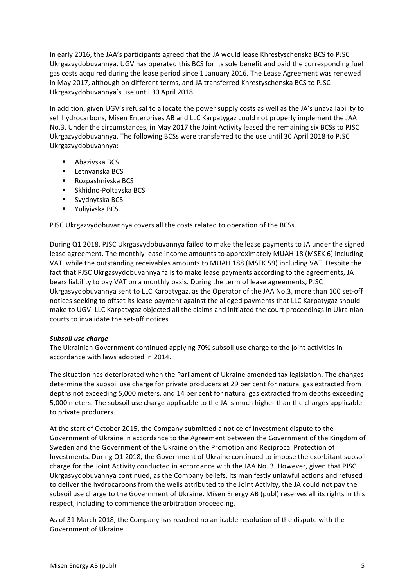In early 2016, the JAA's participants agreed that the JA would lease Khrestyschenska BCS to PJSC Ukrgazvydobuvannya. UGV has operated this BCS for its sole benefit and paid the corresponding fuel gas costs acquired during the lease period since 1 January 2016. The Lease Agreement was renewed in May 2017, although on different terms, and JA transferred Khrestyschenska BCS to PJSC Ukrgazvydobuvannya's use until 30 April 2018.

In addition, given UGV's refusal to allocate the power supply costs as well as the JA's unavailability to sell hydrocarbons, Misen Enterprises AB and LLC Karpatygaz could not properly implement the JAA No.3. Under the circumstances, in May 2017 the Joint Activity leased the remaining six BCSs to PJSC Ukrgazvydobuvannya. The following BCSs were transferred to the use until 30 April 2018 to PJSC Ukrgazvydobuvannya:

- Abazivska BCS
- Letnyanska BCS
- Rozpashnivska BCS
- Skhidno-Poltavska BCS
- Svydnytska BCS
- Yuliyivska BCS.

PJSC Ukrgazvydobuvannya covers all the costs related to operation of the BCSs.

During Q1 2018, PJSC Ukrgasvydobuvannya failed to make the lease payments to JA under the signed lease agreement. The monthly lease income amounts to approximately MUAH 18 (MSEK 6) including VAT, while the outstanding receivables amounts to MUAH 188 (MSEK 59) including VAT. Despite the fact that PJSC Ukrgasvydobuvannya fails to make lease payments according to the agreements, JA bears liability to pay VAT on a monthly basis. During the term of lease agreements, PJSC Ukrgasvydobuvannya sent to LLC Karpatygaz, as the Operator of the JAA No.3, more than 100 set-off notices seeking to offset its lease payment against the alleged payments that LLC Karpatygaz should make to UGV. LLC Karpatygaz objected all the claims and initiated the court proceedings in Ukrainian courts to invalidate the set-off notices.

# Subsoil use charge

The Ukrainian Government continued applying 70% subsoil use charge to the joint activities in accordance with laws adopted in 2014.

The situation has deteriorated when the Parliament of Ukraine amended tax legislation. The changes determine the subsoil use charge for private producers at 29 per cent for natural gas extracted from depths not exceeding 5,000 meters, and 14 per cent for natural gas extracted from depths exceeding 5,000 meters. The subsoil use charge applicable to the JA is much higher than the charges applicable to private producers.

At the start of October 2015, the Company submitted a notice of investment dispute to the Government of Ukraine in accordance to the Agreement between the Government of the Kingdom of Sweden and the Government of the Ukraine on the Promotion and Reciprocal Protection of Investments. During Q1 2018, the Government of Ukraine continued to impose the exorbitant subsoil charge for the Joint Activity conducted in accordance with the JAA No. 3. However, given that PJSC Ukrgasvydobuvannya continued, as the Company beliefs, its manifestly unlawful actions and refused to deliver the hydrocarbons from the wells attributed to the Joint Activity, the JA could not pay the subsoil use charge to the Government of Ukraine. Misen Energy AB (publ) reserves all its rights in this respect, including to commence the arbitration proceeding.

As of 31 March 2018, the Company has reached no amicable resolution of the dispute with the Government of Ukraine.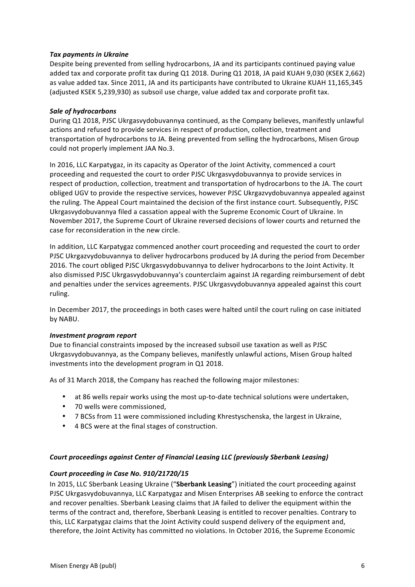# **Tax payments in Ukraine**

Despite being prevented from selling hydrocarbons, JA and its participants continued paying value added tax and corporate profit tax during Q1 2018. During Q1 2018, JA paid KUAH 9,030 (KSEK 2,662) as value added tax. Since 2011, JA and its participants have contributed to Ukraine KUAH 11,165,345 (adjusted KSEK 5,239,930) as subsoil use charge, value added tax and corporate profit tax.

# **Sale of hydrocarbons**

During Q1 2018, PJSC Ukrgasvydobuvannya continued, as the Company believes, manifestly unlawful actions and refused to provide services in respect of production, collection, treatment and transportation of hydrocarbons to JA. Being prevented from selling the hydrocarbons, Misen Group could not properly implement JAA No.3.

In 2016, LLC Karpatygaz, in its capacity as Operator of the Joint Activity, commenced a court proceeding and requested the court to order PJSC Ukrgasvydobuvannya to provide services in respect of production, collection, treatment and transportation of hydrocarbons to the JA. The court obliged UGV to provide the respective services, however PJSC Ukrgazvydobuvannya appealed against the ruling. The Appeal Court maintained the decision of the first instance court. Subsequently, PJSC Ukrgasvydobuvannya filed a cassation appeal with the Supreme Economic Court of Ukraine. In November 2017, the Supreme Court of Ukraine reversed decisions of lower courts and returned the case for reconsideration in the new circle.

In addition, LLC Karpatygaz commenced another court proceeding and requested the court to order PJSC Ukrgazvydobuvannya to deliver hydrocarbons produced by JA during the period from December 2016. The court obliged PJSC Ukrgasvydobuvannya to deliver hydrocarbons to the Joint Activity. It also dismissed PJSC Ukrgasvydobuvannya's counterclaim against JA regarding reimbursement of debt and penalties under the services agreements. PJSC Ukrgasvydobuvannya appealed against this court ruling. 

In December 2017, the proceedings in both cases were halted until the court ruling on case initiated by NABU.

# *Investment program report*

Due to financial constraints imposed by the increased subsoil use taxation as well as PJSC Ukrgasvydobuvannya, as the Company believes, manifestly unlawful actions, Misen Group halted investments into the development program in Q1 2018.

As of 31 March 2018, the Company has reached the following major milestones:

- at 86 wells repair works using the most up-to-date technical solutions were undertaken,
- 70 wells were commissioned,
- 7 BCSs from 11 were commissioned including Khrestyschenska, the largest in Ukraine,
- 4 BCS were at the final stages of construction.

# Court proceedings against Center of Financial Leasing LLC (previously Sberbank Leasing)

# *Court proceeding in Case No. 910/21720/15*

In 2015, LLC Sberbank Leasing Ukraine ("Sberbank Leasing") initiated the court proceeding against PJSC Ukrgasvydobuvannya, LLC Karpatygaz and Misen Enterprises AB seeking to enforce the contract and recover penalties. Sberbank Leasing claims that JA failed to deliver the equipment within the terms of the contract and, therefore, Sberbank Leasing is entitled to recover penalties. Contrary to this, LLC Karpatygaz claims that the Joint Activity could suspend delivery of the equipment and, therefore, the Joint Activity has committed no violations. In October 2016, the Supreme Economic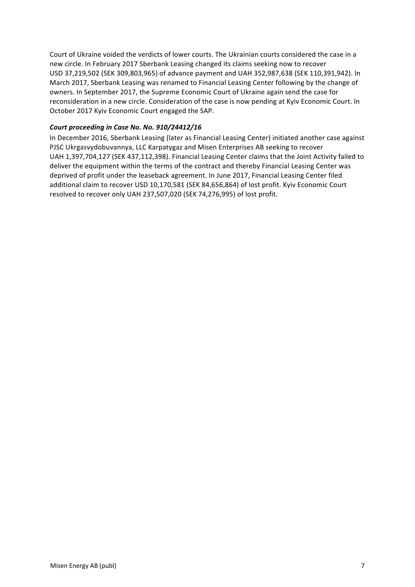Court of Ukraine voided the verdicts of lower courts. The Ukrainian courts considered the case in a new circle. In February 2017 Sberbank Leasing changed its claims seeking now to recover USD 37,219,502 (SEK 309,803,965) of advance payment and UAH 352,987,638 (SEK 110,391,942). In March 2017, Sberbank Leasing was renamed to Financial Leasing Center following by the change of owners. In September 2017, the Supreme Economic Court of Ukraine again send the case for reconsideration in a new circle. Consideration of the case is now pending at Kyiv Economic Court. In October 2017 Kyiv Economic Court engaged the SAP.

# Court proceeding in Case No. No. 910/24412/16

In December 2016, Sberbank Leasing (later as Financial Leasing Center) initiated another case against PJSC Ukrgasvydobuvannya, LLC Karpatygaz and Misen Enterprises AB seeking to recover UAH 1,397,704,127 (SEK 437,112,398). Financial Leasing Center claims that the Joint Activity failed to deliver the equipment within the terms of the contract and thereby Financial Leasing Center was deprived of profit under the leaseback agreement. In June 2017, Financial Leasing Center filed additional claim to recover USD 10,170,581 (SEK 84,656,864) of lost profit. Kyiv Economic Court resolved to recover only UAH 237,507,020 (SEK 74,276,995) of lost profit.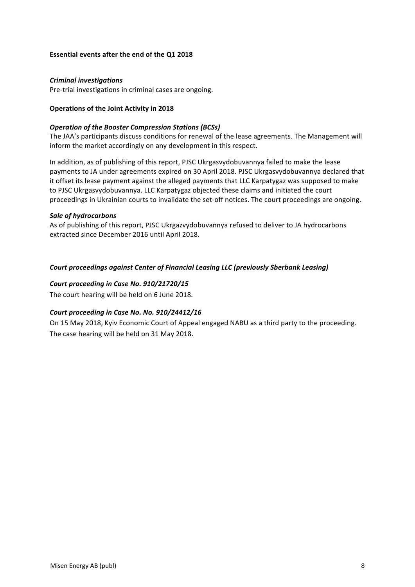# **Essential events after the end of the Q1 2018**

## *Criminal investigations*

Pre-trial investigations in criminal cases are ongoing.

### **Operations of the Joint Activity in 2018**

#### **Operation of the Booster Compression Stations (BCSs)**

The JAA's participants discuss conditions for renewal of the lease agreements. The Management will inform the market accordingly on any development in this respect.

In addition, as of publishing of this report, PJSC Ukrgasvydobuvannya failed to make the lease payments to JA under agreements expired on 30 April 2018. PJSC Ukrgasvydobuvannya declared that it offset its lease payment against the alleged payments that LLC Karpatygaz was supposed to make to PJSC Ukrgasvydobuvannya. LLC Karpatygaz objected these claims and initiated the court proceedings in Ukrainian courts to invalidate the set-off notices. The court proceedings are ongoing.

#### *Sale of hydrocarbons*

As of publishing of this report, PJSC Ukrgazvydobuvannya refused to deliver to JA hydrocarbons extracted since December 2016 until April 2018.

### Court proceedings against Center of Financial Leasing LLC (previously Sberbank Leasing)

### Court proceeding in Case No. 910/21720/15

The court hearing will be held on 6 June 2018.

# Court proceeding in Case No. No. 910/24412/16

On 15 May 2018, Kyiv Economic Court of Appeal engaged NABU as a third party to the proceeding. The case hearing will be held on 31 May 2018.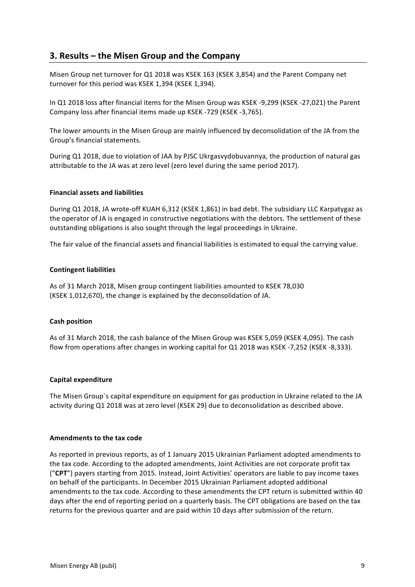# **3. Results – the Misen Group and the Company**

Misen Group net turnover for Q1 2018 was KSEK 163 (KSEK 3,854) and the Parent Company net turnover for this period was KSEK 1,394 (KSEK 1,394).

In Q1 2018 loss after financial items for the Misen Group was KSEK -9,299 (KSEK -27,021) the Parent Company loss after financial items made up KSEK -729 (KSEK -3,765).

The lower amounts in the Misen Group are mainly influenced by deconsolidation of the JA from the Group's financial statements.

During Q1 2018, due to violation of JAA by PJSC Ukrgasvydobuvannya, the production of natural gas attributable to the JA was at zero level (zero level during the same period 2017).

### **Financial assets and liabilities**

During Q1 2018, JA wrote-off KUAH 6,312 (KSEK 1,861) in bad debt. The subsidiary LLC Karpatygaz as the operator of JA is engaged in constructive negotiations with the debtors. The settlement of these outstanding obligations is also sought through the legal proceedings in Ukraine.

The fair value of the financial assets and financial liabilities is estimated to equal the carrying value.

### **Contingent liabilities**

As of 31 March 2018, Misen group contingent liabilities amounted to KSEK 78,030 (KSEK 1,012,670), the change is explained by the deconsolidation of JA.

# **Cash position**

As of 31 March 2018, the cash balance of the Misen Group was KSEK 5,059 (KSEK 4,095). The cash flow from operations after changes in working capital for Q1 2018 was KSEK -7,252 (KSEK -8,333).

#### **Capital expenditure**

The Misen Group's capital expenditure on equipment for gas production in Ukraine related to the JA activity during Q1 2018 was at zero level (KSEK 29) due to deconsolidation as described above.

#### **Amendments to the tax code**

As reported in previous reports, as of 1 January 2015 Ukrainian Parliament adopted amendments to the tax code. According to the adopted amendments, Joint Activities are not corporate profit tax ("CPT") payers starting from 2015. Instead, Joint Activities' operators are liable to pay income taxes on behalf of the participants. In December 2015 Ukrainian Parliament adopted additional amendments to the tax code. According to these amendments the CPT return is submitted within 40 days after the end of reporting period on a quarterly basis. The CPT obligations are based on the tax returns for the previous quarter and are paid within 10 days after submission of the return.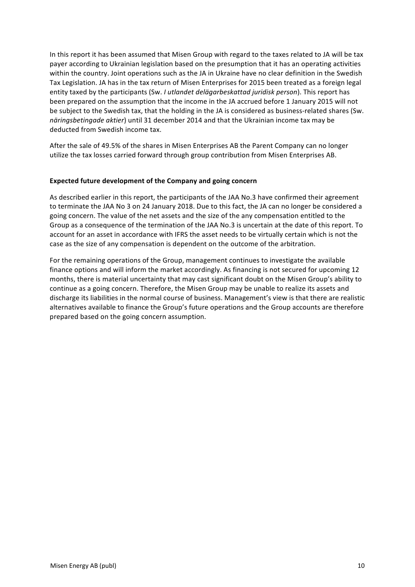In this report it has been assumed that Misen Group with regard to the taxes related to JA will be tax payer according to Ukrainian legislation based on the presumption that it has an operating activities within the country. Joint operations such as the JA in Ukraine have no clear definition in the Swedish Tax Legislation. JA has in the tax return of Misen Enterprises for 2015 been treated as a foreign legal entity taxed by the participants (Sw. *I utlandet delägarbeskattad juridisk person*). This report has been prepared on the assumption that the income in the JA accrued before 1 January 2015 will not be subject to the Swedish tax, that the holding in the JA is considered as business-related shares (Sw. *näringsbetingade aktier*) until 31 december 2014 and that the Ukrainian income tax may be deducted from Swedish income tax.

After the sale of 49.5% of the shares in Misen Enterprises AB the Parent Company can no longer utilize the tax losses carried forward through group contribution from Misen Enterprises AB.

# **Expected future development of the Company and going concern**

As described earlier in this report, the participants of the JAA No.3 have confirmed their agreement to terminate the JAA No 3 on 24 January 2018. Due to this fact, the JA can no longer be considered a going concern. The value of the net assets and the size of the any compensation entitled to the Group as a consequence of the termination of the JAA No.3 is uncertain at the date of this report. To account for an asset in accordance with IFRS the asset needs to be virtually certain which is not the case as the size of any compensation is dependent on the outcome of the arbitration.

For the remaining operations of the Group, management continues to investigate the available finance options and will inform the market accordingly. As financing is not secured for upcoming 12 months, there is material uncertainty that may cast significant doubt on the Misen Group's ability to continue as a going concern. Therefore, the Misen Group may be unable to realize its assets and discharge its liabilities in the normal course of business. Management's view is that there are realistic alternatives available to finance the Group's future operations and the Group accounts are therefore prepared based on the going concern assumption.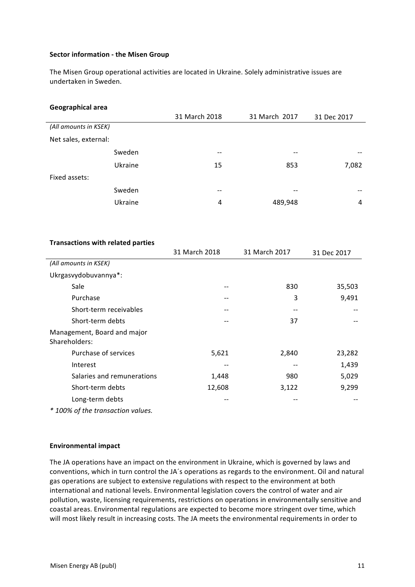### **Sector information - the Misen Group**

The Misen Group operational activities are located in Ukraine. Solely administrative issues are undertaken in Sweden.

| Geographical area |
|-------------------|
|-------------------|

|                       |         | 31 March 2018 | 31 March 2017 | 31 Dec 2017 |
|-----------------------|---------|---------------|---------------|-------------|
| (All amounts in KSEK) |         |               |               |             |
| Net sales, external:  |         |               |               |             |
|                       | Sweden  | --            | --            | --          |
|                       | Ukraine | 15            | 853           | 7,082       |
| Fixed assets:         |         |               |               |             |
|                       | Sweden  | --            | --            |             |
|                       | Ukraine | 4             | 489,948       | 4           |
|                       |         |               |               |             |

| <b>Transactions with related parties</b>     |               |               |             |
|----------------------------------------------|---------------|---------------|-------------|
|                                              | 31 March 2018 | 31 March 2017 | 31 Dec 2017 |
| (All amounts in KSEK)                        |               |               |             |
| Ukrgasvydobuvannya*:                         |               |               |             |
| Sale                                         |               | 830           | 35,503      |
| Purchase                                     |               | 3             | 9,491       |
| Short-term receivables                       |               |               |             |
| Short-term debts                             |               | 37            |             |
| Management, Board and major<br>Shareholders: |               |               |             |
| Purchase of services                         | 5,621         | 2,840         | 23,282      |
| Interest                                     |               |               | 1,439       |
| Salaries and remunerations                   | 1,448         | 980           | 5,029       |
| Short-term debts                             | 12,608        | 3,122         | 9,299       |
| Long-term debts                              |               |               |             |
| * 100% of the transaction values.            |               |               |             |

#### **Environmental impact**

The JA operations have an impact on the environment in Ukraine, which is governed by laws and conventions, which in turn control the JA's operations as regards to the environment. Oil and natural gas operations are subject to extensive regulations with respect to the environment at both international and national levels. Environmental legislation covers the control of water and air pollution, waste, licensing requirements, restrictions on operations in environmentally sensitive and coastal areas. Environmental regulations are expected to become more stringent over time, which will most likely result in increasing costs. The JA meets the environmental requirements in order to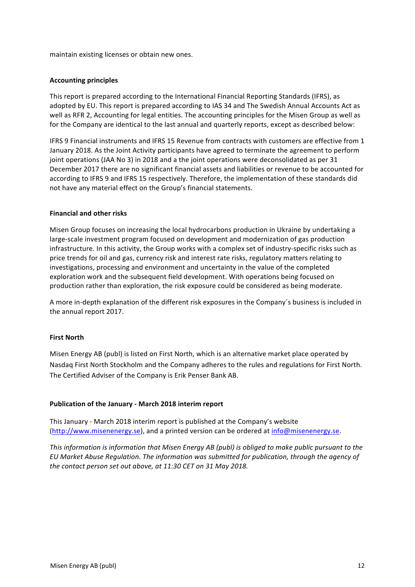maintain existing licenses or obtain new ones.

# **Accounting principles**

This report is prepared according to the International Financial Reporting Standards (IFRS), as adopted by EU. This report is prepared according to IAS 34 and The Swedish Annual Accounts Act as well as RFR 2, Accounting for legal entities. The accounting principles for the Misen Group as well as for the Company are identical to the last annual and quarterly reports, except as described below:

IFRS 9 Financial instruments and IFRS 15 Revenue from contracts with customers are effective from 1 January 2018. As the Joint Activity participants have agreed to terminate the agreement to perform joint operations (JAA No 3) in 2018 and a the joint operations were deconsolidated as per 31 December 2017 there are no significant financial assets and liabilities or revenue to be accounted for according to IFRS 9 and IFRS 15 respectively. Therefore, the implementation of these standards did not have any material effect on the Group's financial statements.

# **Financial and other risks**

Misen Group focuses on increasing the local hydrocarbons production in Ukraine by undertaking a large-scale investment program focused on development and modernization of gas production infrastructure. In this activity, the Group works with a complex set of industry-specific risks such as price trends for oil and gas, currency risk and interest rate risks, regulatory matters relating to investigations, processing and environment and uncertainty in the value of the completed exploration work and the subsequent field development. With operations being focused on production rather than exploration, the risk exposure could be considered as being moderate.

A more in-depth explanation of the different risk exposures in the Company's business is included in the annual report 2017.

# **First North**

Misen Energy AB (publ) is listed on First North, which is an alternative market place operated by Nasdaq First North Stockholm and the Company adheres to the rules and regulations for First North. The Certified Adviser of the Company is Erik Penser Bank AB.

# **Publication of the January - March 2018 interim report**

This January - March 2018 interim report is published at the Company's website (http://www.misenenergy.se), and a printed version can be ordered at info@misenenergy.se.

*This information is information that Misen Energy AB (publ) is obliged to make public pursuant to the* EU Market Abuse Regulation. The information was submitted for publication, through the agency of *the contact person set out above, at 11:30 CET on 31 May 2018.*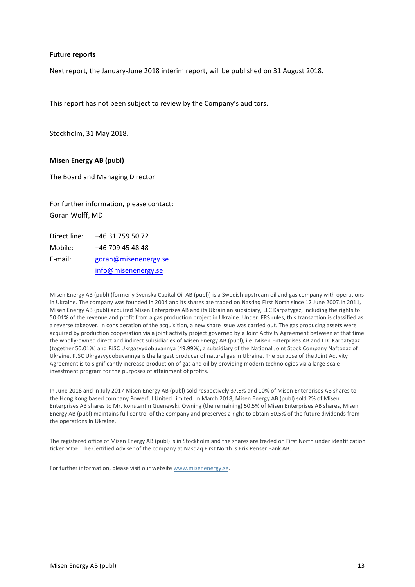#### **Future reports**

Next report, the January-June 2018 interim report, will be published on 31 August 2018.

This report has not been subject to review by the Company's auditors.

Stockholm, 31 May 2018.

#### **Misen Energy AB (publ)**

The Board and Managing Director

For further information, please contact: Göran Wolff, MD

Direct line: +46 31 759 50 72 Mobile: +46 709 45 48 48 E-mail: goran@misenenergy.se info@misenenergy.se

Misen Energy AB (publ) (formerly Svenska Capital Oil AB (publ)) is a Swedish upstream oil and gas company with operations in Ukraine. The company was founded in 2004 and its shares are traded on Nasdaq First North since 12 June 2007.In 2011, Misen Energy AB (publ) acquired Misen Enterprises AB and its Ukrainian subsidiary, LLC Karpatygaz, including the rights to 50.01% of the revenue and profit from a gas production project in Ukraine. Under IFRS rules, this transaction is classified as a reverse takeover. In consideration of the acquisition, a new share issue was carried out. The gas producing assets were acquired by production cooperation via a joint activity project governed by a Joint Activity Agreement between at that time the wholly-owned direct and indirect subsidiaries of Misen Energy AB (publ), i.e. Misen Enterprises AB and LLC Karpatygaz (together 50.01%) and PJSC Ukrgasvydobuvannya (49.99%), a subsidiary of the National Joint Stock Company Naftogaz of Ukraine. PJSC Ukrgasvydobuvannya is the largest producer of natural gas in Ukraine. The purpose of the Joint Activity Agreement is to significantly increase production of gas and oil by providing modern technologies via a large-scale investment program for the purposes of attainment of profits.

In June 2016 and in July 2017 Misen Energy AB (publ) sold respectively 37.5% and 10% of Misen Enterprises AB shares to the Hong Kong based company Powerful United Limited. In March 2018, Misen Energy AB (publ) sold 2% of Misen Enterprises AB shares to Mr. Konstantin Guenevski. Owning (the remaining) 50.5% of Misen Enterprises AB shares, Misen Energy AB (publ) maintains full control of the company and preserves a right to obtain 50.5% of the future dividends from the operations in Ukraine.

The registered office of Misen Energy AB (publ) is in Stockholm and the shares are traded on First North under identification ticker MISE. The Certified Adviser of the company at Nasdaq First North is Erik Penser Bank AB.

For further information, please visit our website www.misenenergy.se.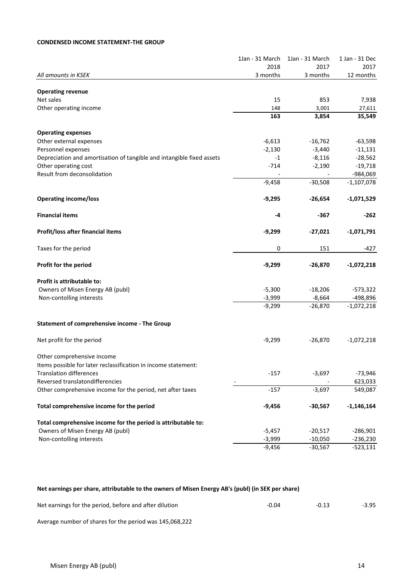# **CONDENSED INCOME STATEMENT-THE GROUP**

|                                                                       | 1Jan - 31 March | 1Jan - 31 March | 1 Jan - 31 Dec |
|-----------------------------------------------------------------------|-----------------|-----------------|----------------|
|                                                                       | 2018            | 2017            | 2017           |
| All amounts in KSEK                                                   | 3 months        | 3 months        | 12 months      |
| <b>Operating revenue</b>                                              |                 |                 |                |
| Net sales                                                             | 15              | 853             | 7,938          |
| Other operating income                                                | 148             | 3,001           | 27,611         |
|                                                                       | 163             | 3,854           | 35,549         |
| <b>Operating expenses</b>                                             |                 |                 |                |
| Other external expenses                                               | $-6,613$        | $-16,762$       | $-63,598$      |
| Personnel expenses                                                    | $-2,130$        | $-3,440$        | $-11,131$      |
| Depreciation and amortisation of tangible and intangible fixed assets | $-1$            | $-8,116$        | $-28,562$      |
| Other operating cost                                                  | $-714$          | $-2,190$        | $-19,718$      |
| Result from deconsolidation                                           |                 |                 | -984,069       |
|                                                                       | $-9,458$        | $-30,508$       | $-1,107,078$   |
| <b>Operating income/loss</b>                                          | $-9,295$        | $-26,654$       | $-1,071,529$   |
|                                                                       |                 |                 |                |
| <b>Financial items</b>                                                | -4              | -367            | -262           |
| Profit/loss after financial items                                     | $-9,299$        | $-27,021$       | $-1,071,791$   |
| Taxes for the period                                                  | 0               | 151             | -427           |
| Profit for the period                                                 | $-9,299$        | $-26,870$       | $-1,072,218$   |
| Profit is attributable to:                                            |                 |                 |                |
| Owners of Misen Energy AB (publ)                                      | $-5,300$        | $-18,206$       | -573,322       |
| Non-contolling interests                                              | $-3,999$        | $-8,664$        | -498,896       |
|                                                                       | $-9,299$        | $-26,870$       | $-1,072,218$   |
| Statement of comprehensive income - The Group                         |                 |                 |                |
| Net profit for the period                                             | $-9,299$        | $-26,870$       | $-1,072,218$   |
| Other comprehensive income                                            |                 |                 |                |
| Items possible for later reclassification in income statement:        |                 |                 |                |
| <b>Translation differences</b>                                        | $-157$          | $-3,697$        | -73,946        |
| Reversed translatondifferencies                                       |                 |                 | 623,033        |
| Other comprehensive income for the period, net after taxes            | $-157$          | $-3,697$        | 549,087        |
|                                                                       |                 |                 |                |
| Total comprehensive income for the period                             | $-9,456$        | $-30,567$       | $-1,146,164$   |
| Total comprehensive income for the period is attributable to:         |                 |                 |                |
| Owners of Misen Energy AB (publ)                                      | $-5,457$        | $-20,517$       | $-286,901$     |
| Non-contolling interests                                              | $-3,999$        | $-10,050$       | $-236,230$     |
|                                                                       | $-9,456$        | $-30,567$       | $-523,131$     |

## Net earnings per share, attributable to the owners of Misen Energy AB's (publ) (in SEK per share)

| Net earnings for the period, before and after dilution  | -0.04 | $-0.13$ | $-3.95$ |
|---------------------------------------------------------|-------|---------|---------|
| Average number of shares for the period was 145,068,222 |       |         |         |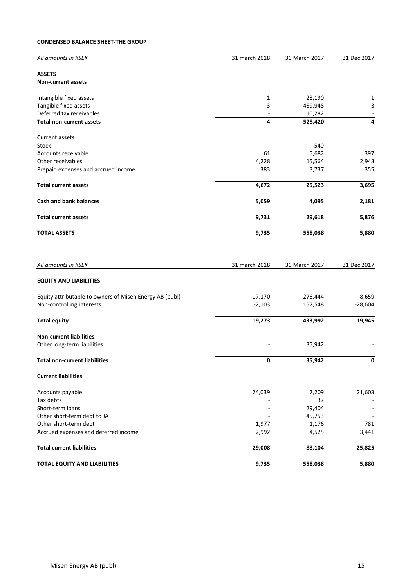## **CONDENSED BALANCE SHEET-THE GROUP**

| All amounts in KSEK                                     | 31 march 2018            | 31 March 2017 | 31 Dec 2017              |
|---------------------------------------------------------|--------------------------|---------------|--------------------------|
| <b>ASSETS</b><br><b>Non-current assets</b>              |                          |               |                          |
| Intangible fixed assets                                 | 1                        | 28,190        | 1                        |
| Tangible fixed assets                                   | 3                        | 489,948       | 3                        |
| Deferred tax receivables                                |                          | 10,282        | $\overline{\phantom{a}}$ |
| <b>Total non-current assets</b>                         | 4                        | 528,420       | 4                        |
| <b>Current assets</b>                                   |                          |               |                          |
| Stock                                                   | $\overline{\phantom{a}}$ | 540           |                          |
| Accounts receivable                                     | 61                       | 5,682         | 397                      |
| Other receivables                                       | 4,228                    | 15,564        | 2,943                    |
| Prepaid expenses and accrued income                     | 383                      | 3,737         | 355                      |
| <b>Total current assets</b>                             | 4,672                    | 25,523        | 3,695                    |
| <b>Cash and bank balances</b>                           | 5,059                    | 4,095         | 2,181                    |
| <b>Total current assets</b>                             | 9,731                    | 29,618        | 5,876                    |
| <b>TOTAL ASSETS</b>                                     | 9,735                    | 558,038       | 5,880                    |
| All amounts in KSEK                                     | 31 march 2018            | 31 March 2017 | 31 Dec 2017              |
| <b>EQUITY AND LIABILITIES</b>                           |                          |               |                          |
| Equity attributable to owners of Misen Energy AB (publ) | $-17,170$                | 276,444       | 8,659                    |
| Non-controlling interests                               | $-2,103$                 | 157,548       | $-28,604$                |
| <b>Total equity</b>                                     | $-19,273$                | 433,992       | $-19,945$                |
| <b>Non-current liabilities</b>                          |                          |               |                          |
| Other long-term liabilities                             |                          | 35,942        |                          |
| <b>Total non-current liabilities</b>                    | 0                        | 35,942        | 0                        |
| <b>Current liabilities</b>                              |                          |               |                          |
| Accounts payable                                        | 24,039                   | 7,209         | 21,603                   |
| Tax debts                                               |                          | 37            |                          |
| Short-term loans                                        |                          | 29,404        |                          |
| Other short-term debt to JA                             |                          | 45,753        |                          |
| Other short-term debt                                   | 1,977                    | 1,176         | 781                      |
| Accrued expenses and deferred income                    | 2,992                    | 4,525         | 3,441                    |
| <b>Total current liabilities</b>                        | 29,008                   | 88,104        | 25,825                   |
| <b>TOTAL EQUITY AND LIABILITIES</b>                     | 9,735                    | 558,038       | 5,880                    |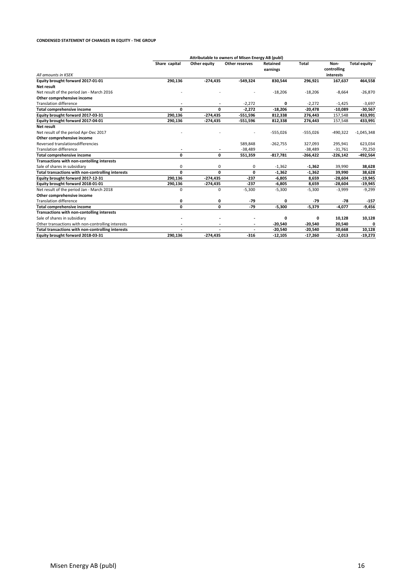#### **CONDENSED STATEMENT OF CHANGES IN EQUITY - THE GROUP**

|                                                   |               |                          | Attributable to owners of Misen Energy AB (publ) |                      |            |                     |                     |
|---------------------------------------------------|---------------|--------------------------|--------------------------------------------------|----------------------|------------|---------------------|---------------------|
|                                                   | Share capital | Other equity             | Other reserves                                   | Retained<br>earnings | Total      | Non-<br>controlling | <b>Total equity</b> |
| All amounts in KSEK                               |               |                          |                                                  |                      |            | interests           |                     |
| Equity brought forward 2017-01-01                 | 290,136       | $-274,435$               | $-549,324$                                       | 830,544              | 296,921    | 167,637             | 464,558             |
| Net result                                        |               |                          |                                                  |                      |            |                     |                     |
| Net result of the period Jan - March 2016         |               |                          |                                                  | $-18,206$            | $-18,206$  | $-8,664$            | $-26,870$           |
| Other comprehensive income                        |               |                          |                                                  |                      |            |                     |                     |
| <b>Translation difference</b>                     | ٠             | $\overline{\phantom{a}}$ | $-2,272$                                         | 0                    | $-2,272$   | $-1,425$            | $-3,697$            |
| Total comprehensive income                        | 0             | 0                        | $-2.272$                                         | $-18,206$            | $-20,478$  | $-10,089$           | $-30,567$           |
| Equity brought forward 2017-03-31                 | 290,136       | $-274,435$               | $-551,596$                                       | 812,338              | 276,443    | 157,548             | 433,991             |
| Equity brought forward 2017-04-01                 | 290,136       | -274,435                 | $-551,596$                                       | 812,338              | 276,443    | 157,548             | 433,991             |
| Net result                                        |               |                          |                                                  |                      |            |                     |                     |
| Net result of the period Apr-Dec 2017             |               |                          |                                                  | $-555,026$           | $-555,026$ | $-490,322$          | $-1,045,348$        |
| Other comprehensive income                        |               |                          |                                                  |                      |            |                     |                     |
| Reversed translationsdifferencies                 |               |                          | 589,848                                          | $-262,755$           | 327,093    | 295,941             | 623,034             |
| <b>Translation difference</b>                     |               |                          | $-38,489$                                        |                      | $-38,489$  | $-31,761$           | $-70,250$           |
| <b>Total comprehensive income</b>                 | 0             | 0                        | 551,359                                          | $-817,781$           | $-266,422$ | $-226,142$          | -492,564            |
| Transactions with non-contolling interests        |               |                          |                                                  |                      |            |                     |                     |
| Sale of shares in subsidiary                      | 0             | 0                        | 0                                                | $-1,362$             | $-1,362$   | 39,990              | 38,628              |
| Total transactions with non-controlling interests | 0             | 0                        | 0                                                | $-1,362$             | $-1,362$   | 39,990              | 38,628              |
| Equity brought forward 2017-12-31                 | 290,136       | $-274,435$               | $-237$                                           | $-6,805$             | 8,659      | $-28,604$           | $-19,945$           |
| Equity brought forward 2018-01-01                 | 290,136       | $-274,435$               | $-237$                                           | $-6,805$             | 8,659      | $-28,604$           | $-19,945$           |
| Net result of the period Jan - March 2018         | $\Omega$      | 0                        | $-5,300$                                         | $-5,300$             | $-5,300$   | $-3,999$            | $-9,299$            |
| Other comprehensive income                        |               |                          |                                                  |                      |            |                     |                     |
| <b>Translation difference</b>                     | 0             | 0                        | $-79$                                            | 0                    | $-79$      | $-78$               | $-157$              |
| <b>Total comprehensive income</b>                 | 0             | 0                        | $-79$                                            | $-5,300$             | $-5,379$   | $-4,077$            | $-9,456$            |
| Transactions with non-contolling interests        |               |                          |                                                  |                      |            |                     |                     |
| Sale of shares in subsidiary                      |               |                          |                                                  | 0                    | 0          | 10,128              | 10,128              |
| Other transactions with non-controlling interests |               |                          |                                                  | -20,540              | $-20,540$  | 20,540              |                     |
| Total transactions with non-controlling interests |               | $\overline{\phantom{a}}$ |                                                  | $-20,540$            | -20,540    | 30,668              | 10,128              |
| Equity brought forward 2018-03-31                 | 290.136       | $-274,435$               | $-316$                                           | $-12,105$            | $-17,260$  | $-2,013$            | $-19,273$           |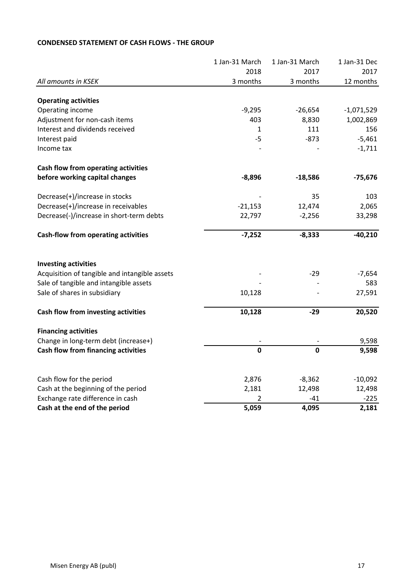| 2018<br>2017<br>3 months<br>3 months<br>All amounts in KSEK                           | 2017<br>12 months |
|---------------------------------------------------------------------------------------|-------------------|
|                                                                                       |                   |
|                                                                                       |                   |
| <b>Operating activities</b>                                                           |                   |
| Operating income<br>$-9,295$<br>$-26,654$                                             | $-1,071,529$      |
| Adjustment for non-cash items<br>403<br>8,830                                         | 1,002,869         |
| Interest and dividends received<br>111<br>1                                           | 156               |
| $-5$<br>$-873$<br>Interest paid                                                       | $-5,461$          |
| Income tax                                                                            | $-1,711$          |
| Cash flow from operating activities                                                   |                   |
| before working capital changes<br>$-8,896$<br>$-18,586$                               | $-75,676$         |
| Decrease(+)/increase in stocks<br>35                                                  | 103               |
| Decrease(+)/increase in receivables<br>$-21,153$<br>12,474                            | 2,065             |
| Decrease(-)/increase in short-term debts<br>22,797<br>$-2,256$                        | 33,298            |
| <b>Cash-flow from operating activities</b><br>$-7,252$<br>$-8,333$                    | $-40,210$         |
| <b>Investing activities</b>                                                           |                   |
| Acquisition of tangible and intangible assets<br>$-29$                                | $-7,654$          |
| Sale of tangible and intangible assets                                                | 583               |
| Sale of shares in subsidiary<br>10,128                                                | 27,591            |
| 10,128<br>Cash flow from investing activities<br>$-29$                                | 20,520            |
| <b>Financing activities</b>                                                           |                   |
| Change in long-term debt (increase+)                                                  | 9,598             |
| $\mathbf 0$<br>$\mathbf 0$<br>Cash flow from financing activities                     | 9,598             |
|                                                                                       |                   |
| Cash flow for the period<br>2,876<br>$-8,362$<br>2,181<br>12,498                      | $-10,092$         |
| Cash at the beginning of the period<br>Exchange rate difference in cash<br>2<br>$-41$ | 12,498<br>$-225$  |
| Cash at the end of the period<br>5,059<br>4,095                                       | 2,181             |

# **CONDENSED STATEMENT OF CASH FLOWS - THE GROUP**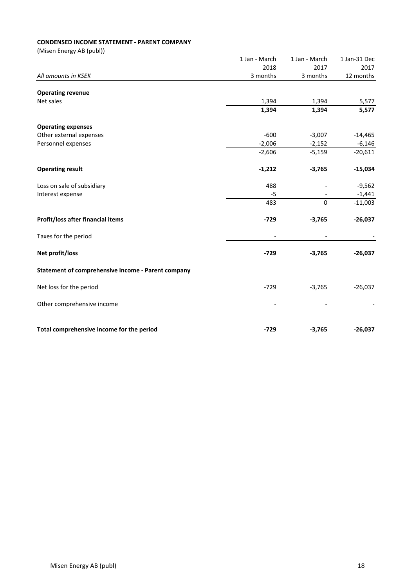# **CONDENSED INCOME STATEMENT - PARENT COMPANY**

|                                                    | 1 Jan - March            | 1 Jan - March            | 1 Jan-31 Dec   |
|----------------------------------------------------|--------------------------|--------------------------|----------------|
|                                                    | 2018                     | 2017                     | 2017           |
| All amounts in KSEK                                | 3 months                 | 3 months                 | 12 months      |
|                                                    |                          |                          |                |
| <b>Operating revenue</b><br>Net sales              | 1,394                    |                          |                |
|                                                    | 1,394                    | 1,394<br>1,394           | 5,577<br>5,577 |
|                                                    |                          |                          |                |
| <b>Operating expenses</b>                          |                          |                          |                |
| Other external expenses                            | $-600$                   | $-3,007$                 | $-14,465$      |
| Personnel expenses                                 | $-2,006$                 | $-2,152$                 | $-6,146$       |
|                                                    | $-2,606$                 | $-5,159$                 | $-20,611$      |
| <b>Operating result</b>                            | $-1,212$                 | $-3,765$                 | $-15,034$      |
| Loss on sale of subsidiary                         | 488                      |                          | $-9,562$       |
| Interest expense                                   | -5                       |                          | $-1,441$       |
|                                                    | 483                      | $\mathbf 0$              | $-11,003$      |
| Profit/loss after financial items                  | $-729$                   | $-3,765$                 | $-26,037$      |
| Taxes for the period                               | $\overline{\phantom{a}}$ | $\overline{\phantom{a}}$ |                |
| Net profit/loss                                    | $-729$                   | $-3,765$                 | $-26,037$      |
| Statement of comprehensive income - Parent company |                          |                          |                |
| Net loss for the period                            | $-729$                   | $-3,765$                 | $-26,037$      |
| Other comprehensive income                         |                          |                          |                |
| Total comprehensive income for the period          | $-729$                   | $-3,765$                 | $-26,037$      |
|                                                    |                          |                          |                |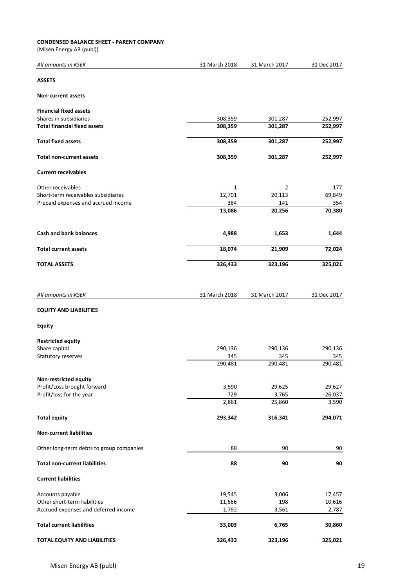## **CONDENSED BALANCE SHEET - PARENT COMPANY**

| All amounts in KSEK                      | 31 March 2018 | 31 March 2017 | 31 Dec 2017 |
|------------------------------------------|---------------|---------------|-------------|
| <b>ASSETS</b>                            |               |               |             |
| <b>Non-current assets</b>                |               |               |             |
| <b>Financial fixed assets</b>            |               |               |             |
| Shares in subsidiaries                   | 308,359       | 301,287       | 252,997     |
| <b>Total financial fixed assets</b>      | 308,359       | 301,287       | 252,997     |
| <b>Total fixed assets</b>                | 308,359       | 301,287       | 252,997     |
| <b>Total non-current assets</b>          | 308,359       | 301,287       | 252,997     |
| <b>Current receivables</b>               |               |               |             |
| Other receivables                        | 1             | 2             | 177         |
| Short-term receivables subsidiaries      | 12,701        | 20,113        | 69,849      |
| Prepaid expenses and accrued income      | 384           | 141           | 354         |
|                                          | 13,086        | 20,256        | 70,380      |
| <b>Cash and bank balances</b>            | 4,988         | 1,653         | 1,644       |
|                                          |               |               |             |
| <b>Total current assets</b>              | 18,074        | 21,909        | 72,024      |
| <b>TOTAL ASSETS</b>                      | 326,433       | 323,196       | 325,021     |
| All amounts in KSEK                      | 31 March 2018 | 31 March 2017 | 31 Dec 2017 |
| <b>EQUITY AND LIABILITIES</b>            |               |               |             |
| <b>Equity</b>                            |               |               |             |
| <b>Restricted equity</b>                 |               |               |             |
| Share capital                            | 290,136       | 290,136       | 290,136     |
| Statutory reserves                       | 345           | 345           | 345         |
|                                          | 290,481       | 290,481       | 290,481     |
| Non-restricted equity                    |               |               |             |
| Profit/Loss brought forward              | 3,590         | 29,625        | 29,627      |
| Profit/loss for the year                 | $-729$        | $-3,765$      | $-26,037$   |
|                                          | 2,861         | 25,860        | 3,590       |
| <b>Total equity</b>                      | 293,342       | 316,341       | 294,071     |
| <b>Non-current liabilities</b>           |               |               |             |
| Other long-term debts to group companies | 88            | 90            | 90          |
| <b>Total non-current liabilities</b>     | 88            | 90            | 90          |
| <b>Current liabilities</b>               |               |               |             |
| Accounts payable                         | 19,545        | 3,006         | 17,457      |
| Other short-term liabilities             | 11,666        | 198           | 10,616      |
| Accrued expenses and deferred income     | 1,792         | 3,561         | 2,787       |
| <b>Total current liabilities</b>         | 33,003        | 6,765         | 30,860      |
| <b>TOTAL EQUITY AND LIABILITIES</b>      | 326,433       | 323,196       | 325,021     |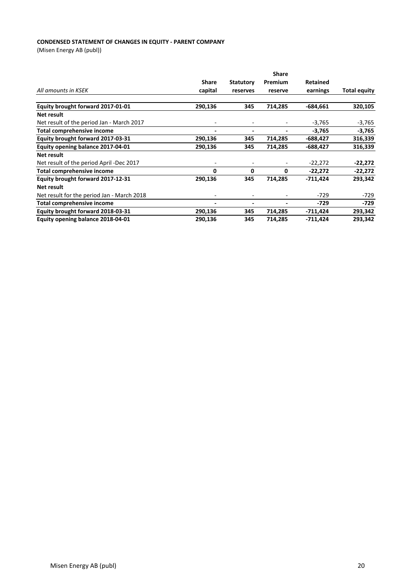## **CONDENSED STATEMENT OF CHANGES IN EQUITY - PARENT COMPANY**

|                                            | <b>Share</b>             |                          |                              |                 |                     |
|--------------------------------------------|--------------------------|--------------------------|------------------------------|-----------------|---------------------|
|                                            | <b>Share</b>             | <b>Statutory</b>         | Premium                      | <b>Retained</b> |                     |
| All amounts in KSEK                        | capital                  | reserves                 | reserve                      | earnings        | <b>Total equity</b> |
|                                            |                          |                          |                              |                 |                     |
| Equity brought forward 2017-01-01          | 290,136                  | 345                      | 714,285                      | $-684,661$      | 320,105             |
| Net result                                 |                          |                          |                              |                 |                     |
| Net result of the period Jan - March 2017  | -                        |                          |                              | $-3,765$        | $-3,765$            |
| <b>Total comprehensive income</b>          | $\overline{\phantom{a}}$ | $\overline{\phantom{a}}$ | $\qquad \qquad \blacksquare$ | $-3,765$        | $-3,765$            |
| Equity brought forward 2017-03-31          | 290,136                  | 345                      | 714,285                      | $-688,427$      | 316,339             |
| Equity opening balance 2017-04-01          | 290,136                  | 345                      | 714,285                      | $-688,427$      | 316,339             |
| Net result                                 |                          |                          |                              |                 |                     |
| Net result of the period April -Dec 2017   | ۰                        |                          |                              | $-22,272$       | -22,272             |
| <b>Total comprehensive income</b>          | 0                        | 0                        | 0                            | $-22,272$       | $-22,272$           |
| Equity brought forward 2017-12-31          | 290,136                  | 345                      | 714,285                      | $-711,424$      | 293,342             |
| Net result                                 |                          |                          |                              |                 |                     |
| Net result for the period Jan - March 2018 |                          |                          |                              | -729            | -729                |
| <b>Total comprehensive income</b>          | $\blacksquare$           |                          |                              | -729            | $-729$              |
| Equity brought forward 2018-03-31          | 290,136                  | 345                      | 714,285                      | -711,424        | 293,342             |
| Equity opening balance 2018-04-01          | 290,136                  | 345                      | 714,285                      | $-711,424$      | 293,342             |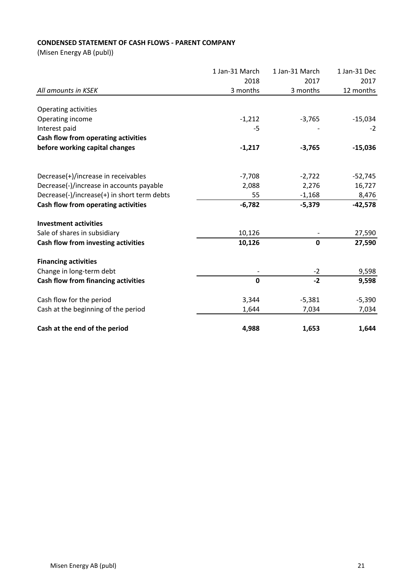# **CONDENSED STATEMENT OF CASH FLOWS - PARENT COMPANY**

|                                             | 1 Jan-31 March | 1 Jan-31 March<br>2017 | 1 Jan-31 Dec<br>2017 |
|---------------------------------------------|----------------|------------------------|----------------------|
|                                             | 2018           |                        |                      |
| All amounts in KSEK                         | 3 months       | 3 months               | 12 months            |
| Operating activities                        |                |                        |                      |
| Operating income                            | $-1,212$       | $-3,765$               | $-15,034$            |
| Interest paid                               | -5             |                        | $-2$                 |
| Cash flow from operating activities         |                |                        |                      |
| before working capital changes              | $-1,217$       | $-3,765$               | $-15,036$            |
| Decrease(+)/increase in receivables         | $-7,708$       | $-2,722$               | $-52,745$            |
| Decrease(-)/increase in accounts payable    | 2,088          | 2,276                  | 16,727               |
| Decrease(-)/increase(+) in short term debts | 55             | $-1,168$               | 8,476                |
| Cash flow from operating activities         | $-6,782$       | $-5,379$               | $-42,578$            |
| <b>Investment activities</b>                |                |                        |                      |
| Sale of shares in subsidiary                | 10,126         |                        | 27,590               |
| Cash flow from investing activities         | 10,126         | 0                      | 27,590               |
| <b>Financing activities</b>                 |                |                        |                      |
| Change in long-term debt                    |                | $-2$                   | 9,598                |
| Cash flow from financing activities         | $\mathbf 0$    | $-2$                   | 9,598                |
| Cash flow for the period                    | 3,344          | $-5,381$               | $-5,390$             |
| Cash at the beginning of the period         | 1,644          | 7,034                  | 7,034                |
| Cash at the end of the period               | 4,988          | 1,653                  | 1,644                |